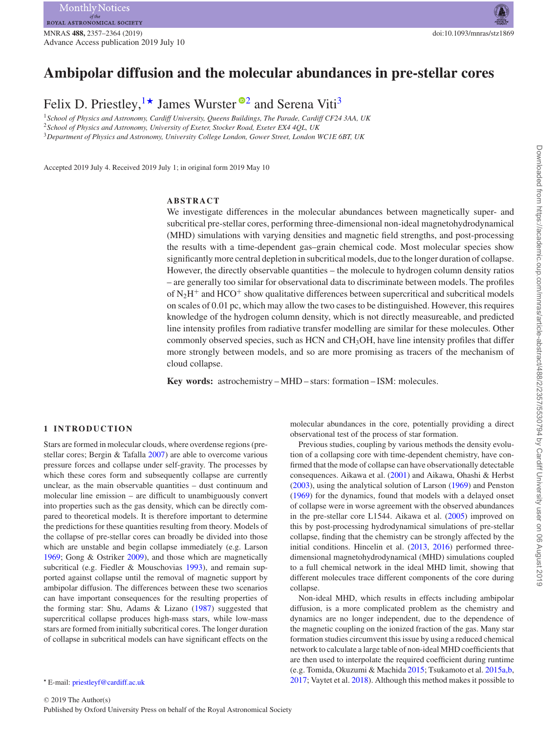# **Ambipolar diffusion and the molecular abundances in pre-stellar cores**

Felix D. Priestley,  $\frac{1 \star}{2}$  $\frac{1 \star}{2}$  $\frac{1 \star}{2}$  James Wurster <sup>02</sup> and Serena Viti<sup>[3](#page-0-3)</sup>

<span id="page-0-3"></span><span id="page-0-2"></span><span id="page-0-0"></span><sup>1</sup>*School of Physics and Astronomy, Cardiff University, Queens Buildings, The Parade, Cardiff CF24 3AA, UK* <sup>2</sup>*School of Physics and Astronomy, University of Exeter, Stocker Road, Exeter EX4 4QL, UK* <sup>3</sup>*Department of Physics and Astronomy, University College London, Gower Street, London WC1E 6BT, UK*

Accepted 2019 July 4. Received 2019 July 1; in original form 2019 May 10

# **ABSTRACT**

We investigate differences in the molecular abundances between magnetically super- and subcritical pre-stellar cores, performing three-dimensional non-ideal magnetohydrodynamical (MHD) simulations with varying densities and magnetic field strengths, and post-processing the results with a time-dependent gas–grain chemical code. Most molecular species show significantly more central depletion in subcritical models, due to the longer duration of collapse. However, the directly observable quantities – the molecule to hydrogen column density ratios – are generally too similar for observational data to discriminate between models. The profiles of  $N_2H^+$  and  $HCO^+$  show qualitative differences between supercritical and subcritical models on scales of 0*.*01 pc, which may allow the two cases to be distinguished. However, this requires knowledge of the hydrogen column density, which is not directly measureable, and predicted line intensity profiles from radiative transfer modelling are similar for these molecules. Other commonly observed species, such as HCN and CH3OH, have line intensity profiles that differ more strongly between models, and so are more promising as tracers of the mechanism of cloud collapse.

**Key words:** astrochemistry – MHD – stars: formation – ISM: molecules.

#### **1 INTRODUCTION**

Stars are formed in molecular clouds, where overdense regions (prestellar cores; Bergin & Tafalla [2007\)](#page-6-0) are able to overcome various pressure forces and collapse under self-gravity. The processes by which these cores form and subsequently collapse are currently unclear, as the main observable quantities – dust continuum and molecular line emission – are difficult to unambiguously convert into properties such as the gas density, which can be directly compared to theoretical models. It is therefore important to determine the predictions for these quantities resulting from theory. Models of the collapse of pre-stellar cores can broadly be divided into those which are unstable and begin collapse immediately (e.g. Larson [1969;](#page-7-0) Gong & Ostriker [2009\)](#page-7-1), and those which are magnetically subcritical (e.g. Fiedler & Mouschovias [1993\)](#page-7-2), and remain supported against collapse until the removal of magnetic support by ambipolar diffusion. The differences between these two scenarios can have important consequences for the resulting properties of the forming star: Shu, Adams & Lizano [\(1987\)](#page-7-3) suggested that supercritical collapse produces high-mass stars, while low-mass stars are formed from initially subcritical cores. The longer duration of collapse in subcritical models can have significant effects on the

<span id="page-0-1"></span>*-* E-mail: [priestleyf@cardiff.ac.uk](mailto:priestleyf@cardiff.ac.uk)

molecular abundances in the core, potentially providing a direct observational test of the process of star formation.

Previous studies, coupling by various methods the density evolution of a collapsing core with time-dependent chemistry, have confirmed that the mode of collapse can have observationally detectable consequences. Aikawa et al. [\(2001\)](#page-6-1) and Aikawa, Ohashi & Herbst [\(2003\)](#page-6-2), using the analytical solution of Larson [\(1969\)](#page-7-0) and Penston [\(1969\)](#page-7-4) for the dynamics, found that models with a delayed onset of collapse were in worse agreement with the observed abundances in the pre-stellar core L1544. Aikawa et al. [\(2005\)](#page-6-3) improved on this by post-processing hydrodynamical simulations of pre-stellar collapse, finding that the chemistry can be strongly affected by the initial conditions. Hincelin et al. [\(2013,](#page-7-5) [2016\)](#page-7-6) performed threedimensional magnetohydrodynamical (MHD) simulations coupled to a full chemical network in the ideal MHD limit, showing that different molecules trace different components of the core during collapse.

Non-ideal MHD, which results in effects including ambipolar diffusion, is a more complicated problem as the chemistry and dynamics are no longer independent, due to the dependence of the magnetic coupling on the ionized fraction of the gas. Many star formation studies circumvent this issue by using a reduced chemical network to calculate a large table of non-ideal MHD coefficients that are then used to interpolate the required coefficient during runtime (e.g. Tomida, Okuzumi & Machida [2015;](#page-7-7) Tsukamoto et al. [2015a](#page-7-8)[,b,](#page-7-9) [2017;](#page-7-10) Vaytet et al. [2018\)](#page-7-11). Although this method makes it possible to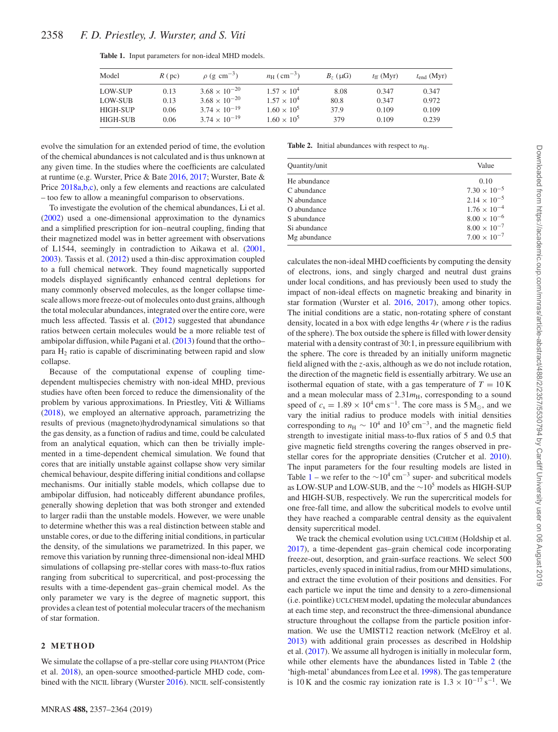| Model    | $R$ (pc) | $\rho$ (g cm <sup>-3</sup> ) | $n_{\rm H}$ (cm <sup>-3</sup> ) | $B7$ ( $\mu$ G) | $t_{\rm ff}$ (Myr) | $t_{\text{end}}$ (Myr) |
|----------|----------|------------------------------|---------------------------------|-----------------|--------------------|------------------------|
| LOW-SUP  | 0.13     | $3.68 \times 10^{-20}$       | $1.57 \times 10^{4}$            | 8.08            | 0.347              | 0.347                  |
| LOW-SUB  | 0.13     | $3.68 \times 10^{-20}$       | $1.57 \times 10^{4}$            | 80.8            | 0.347              | 0.972                  |
| HIGH-SUP | 0.06     | $3.74 \times 10^{-19}$       | $1.60 \times 10^{5}$            | 37.9            | 0.109              | 0.109                  |
| HIGH-SUB | 0.06     | $3.74 \times 10^{-19}$       | $1.60 \times 10^{5}$            | 379             | 0.109              | 0.239                  |

<span id="page-1-0"></span>**Table 1.** Input parameters for non-ideal MHD models.

evolve the simulation for an extended period of time, the evolution of the chemical abundances is not calculated and is thus unknown at any given time. In the studies where the coefficients are calculated at runtime (e.g. Wurster, Price & Bate [2016,](#page-7-12) [2017;](#page-7-13) Wurster, Bate & Price [2018a,](#page-7-14)[b](#page-7-15)[,c\)](#page-7-16), only a few elements and reactions are calculated – too few to allow a meaningful comparison to observations.

To investigate the evolution of the chemical abundances, Li et al. [\(2002\)](#page-7-17) used a one-dimensional approximation to the dynamics and a simplified prescription for ion–neutral coupling, finding that their magnetized model was in better agreement with observations of L1544, seemingly in contradiction to Aikawa et al. [\(2001,](#page-6-1) [2003\)](#page-6-2). Tassis et al. [\(2012\)](#page-7-18) used a thin-disc approximation coupled to a full chemical network. They found magnetically supported models displayed significantly enhanced central depletions for many commonly observed molecules, as the longer collapse timescale allows more freeze-out of molecules onto dust grains, although the total molecular abundances, integrated over the entire core, were much less affected. Tassis et al. [\(2012\)](#page-7-18) suggested that abundance ratios between certain molecules would be a more reliable test of ambipolar diffusion, while Pagani et al. [\(2013\)](#page-7-19) found that the ortho– para H2 ratio is capable of discriminating between rapid and slow collapse.

Because of the computational expense of coupling timedependent multispecies chemistry with non-ideal MHD, previous studies have often been forced to reduce the dimensionality of the problem by various approximations. In Priestley, Viti & Williams [\(2018\)](#page-7-20), we employed an alternative approach, parametrizing the results of previous (magneto)hydrodynamical simulations so that the gas density, as a function of radius and time, could be calculated from an analytical equation, which can then be trivially implemented in a time-dependent chemical simulation. We found that cores that are initially unstable against collapse show very similar chemical behaviour, despite differing initial conditions and collapse mechanisms. Our initially stable models, which collapse due to ambipolar diffusion, had noticeably different abundance profiles, generally showing depletion that was both stronger and extended to larger radii than the unstable models. However, we were unable to determine whether this was a real distinction between stable and unstable cores, or due to the differing initial conditions, in particular the density, of the simulations we parametrized. In this paper, we remove this variation by running three-dimensional non-ideal MHD simulations of collapsing pre-stellar cores with mass-to-flux ratios ranging from subcritical to supercritical, and post-processing the results with a time-dependent gas–grain chemical model. As the only parameter we vary is the degree of magnetic support, this provides a clean test of potential molecular tracers of the mechanism of star formation.

# **2 METHOD**

We simulate the collapse of a pre-stellar core using PHANTOM (Price et al. [2018\)](#page-7-21), an open-source smoothed-particle MHD code, combined with the NICIL library (Wurster [2016\)](#page-7-22). NICIL self-consistently

<span id="page-1-1"></span>**Table 2.** Initial abundances with respect to  $n_{\text{H}}$ .

| Quantity/unit | Value                 |
|---------------|-----------------------|
| He abundance  | 0.10                  |
| C abundance   | $7.30 \times 10^{-5}$ |
| N abundance   | $2.14 \times 10^{-5}$ |
| O abundance   | $1.76 \times 10^{-4}$ |
| S abundance   | $8.00 \times 10^{-6}$ |
| Si abundance  | $8.00 \times 10^{-7}$ |
| Mg abundance  | $7.00 \times 10^{-7}$ |

calculates the non-ideal MHD coefficients by computing the density of electrons, ions, and singly charged and neutral dust grains under local conditions, and has previously been used to study the impact of non-ideal effects on magnetic breaking and binarity in star formation (Wurster et al. [2016,](#page-7-12) [2017\)](#page-7-13), among other topics. The initial conditions are a static, non-rotating sphere of constant density, located in a box with edge lengths 4*r* (where *r* is the radius of the sphere). The box outside the sphere is filled with lower density material with a density contrast of 30:1, in pressure equilibrium with the sphere. The core is threaded by an initially uniform magnetic field aligned with the *z*-axis, although as we do not include rotation, the direction of the magnetic field is essentially arbitrary. We use an isothermal equation of state, with a gas temperature of  $T = 10 \text{ K}$ and a mean molecular mass of  $2.31m<sub>H</sub>$ , corresponding to a sound speed of  $c_s = 1.89 \times 10^4 \text{ cm s}^{-1}$ . The core mass is 5 M<sub>\optops</sub>, and we vary the initial radius to produce models with initial densities corresponding to  $n_{\rm H} \sim 10^4$  and  $10^5$  cm<sup>-3</sup>, and the magnetic field strength to investigate initial mass-to-flux ratios of 5 and 0.5 that give magnetic field strengths covering the ranges observed in prestellar cores for the appropriate densities (Crutcher et al. [2010\)](#page-6-4). The input parameters for the four resulting models are listed in Table [1](#page-1-0) – we refer to the  $\sim 10^4$  cm<sup>-3</sup> super- and subcritical models as LOW-SUP and LOW-SUB, and the <sup>∼</sup>10<sup>5</sup> models as HIGH-SUP and HIGH-SUB, respectively. We run the supercritical models for one free-fall time, and allow the subcritical models to evolve until they have reached a comparable central density as the equivalent density supercritical model.

We track the chemical evolution using UCLCHEM (Holdship et al. [2017\)](#page-7-23), a time-dependent gas–grain chemical code incorporating freeze-out, desorption, and grain-surface reactions. We select 500 particles, evenly spaced in initial radius, from our MHD simulations, and extract the time evolution of their positions and densities. For each particle we input the time and density to a zero-dimensional (i.e. pointlike) UCLCHEM model, updating the molecular abundances at each time step, and reconstruct the three-dimensional abundance structure throughout the collapse from the particle position information. We use the UMIST12 reaction network (McElroy et al. [2013\)](#page-7-24) with additional grain processes as described in Holdship et al. [\(2017\)](#page-7-23). We assume all hydrogen is initially in molecular form, while other elements have the abundances listed in Table [2](#page-1-1) (the 'high-metal' abundances from Lee et al. [1998\)](#page-7-25). The gas temperature is 10 K and the cosmic ray ionization rate is  $1.3 \times 10^{-17}$  s<sup>-1</sup>. We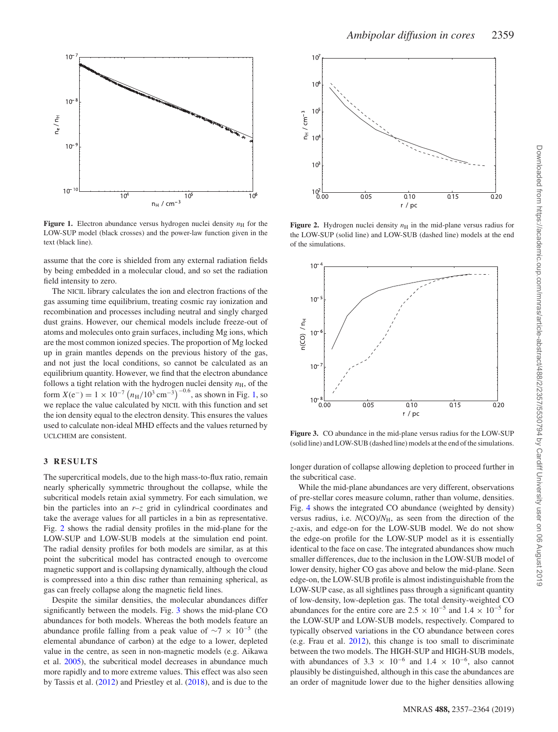

<span id="page-2-0"></span>

**Figure 1.** Electron abundance versus hydrogen nuclei density  $n<sub>H</sub>$  for the LOW-SUP model (black crosses) and the power-law function given in the text (black line).

assume that the core is shielded from any external radiation fields by being embedded in a molecular cloud, and so set the radiation field intensity to zero.

The NICIL library calculates the ion and electron fractions of the gas assuming time equilibrium, treating cosmic ray ionization and recombination and processes including neutral and singly charged dust grains. However, our chemical models include freeze-out of atoms and molecules onto grain surfaces, including Mg ions, which are the most common ionized species. The proportion of Mg locked up in grain mantles depends on the previous history of the gas, and not just the local conditions, so cannot be calculated as an equilibrium quantity. However, we find that the electron abundance follows a tight relation with the hydrogen nuclei density  $n<sub>H</sub>$ , of the form  $X(e^-) = 1 \times 10^{-7} (n_H/10^3 \text{ cm}^{-3})^{-0.6}$ , as shown in Fig. [1,](#page-2-0) so we replace the value calculated by NICIL with this function and set the ion density equal to the electron density. This ensures the values used to calculate non-ideal MHD effects and the values returned by UCLCHEM are consistent.

# **3 RESULTS**

The supercritical models, due to the high mass-to-flux ratio, remain nearly spherically symmetric throughout the collapse, while the subcritical models retain axial symmetry. For each simulation, we bin the particles into an  $r-z$  grid in cylindrical coordinates and take the average values for all particles in a bin as representative. Fig. [2](#page-2-1) shows the radial density profiles in the mid-plane for the LOW-SUP and LOW-SUB models at the simulation end point. The radial density profiles for both models are similar, as at this point the subcritical model has contracted enough to overcome magnetic support and is collapsing dynamically, although the cloud is compressed into a thin disc rather than remaining spherical, as gas can freely collapse along the magnetic field lines.

Despite the similar densities, the molecular abundances differ significantly between the models. Fig. [3](#page-2-2) shows the mid-plane CO abundances for both models. Whereas the both models feature an abundance profile falling from a peak value of  $\sim$ 7 × 10<sup>-5</sup> (the elemental abundance of carbon) at the edge to a lower, depleted value in the centre, as seen in non-magnetic models (e.g. Aikawa et al. [2005\)](#page-6-3), the subcritical model decreases in abundance much more rapidly and to more extreme values. This effect was also seen by Tassis et al. [\(2012\)](#page-7-18) and Priestley et al. [\(2018\)](#page-7-20), and is due to the

<span id="page-2-1"></span>

**Figure 2.** Hydrogen nuclei density  $n<sub>H</sub>$  in the mid-plane versus radius for the LOW-SUP (solid line) and LOW-SUB (dashed line) models at the end of the simulations.

<span id="page-2-2"></span>

**Figure 3.** CO abundance in the mid-plane versus radius for the LOW-SUP (solid line) and LOW-SUB (dashed line) models at the end of the simulations.

longer duration of collapse allowing depletion to proceed further in the subcritical case.

While the mid-plane abundances are very different, observations of pre-stellar cores measure column, rather than volume, densities. Fig. [4](#page-3-0) shows the integrated CO abundance (weighted by density) versus radius, i.e. *N*(CO)/*N*H, as seen from the direction of the *z*-axis, and edge-on for the LOW-SUB model. We do not show the edge-on profile for the LOW-SUP model as it is essentially identical to the face on case. The integrated abundances show much smaller differences, due to the inclusion in the LOW-SUB model of lower density, higher CO gas above and below the mid-plane. Seen edge-on, the LOW-SUB profile is almost indistinguishable from the LOW-SUP case, as all sightlines pass through a significant quantity of low-density, low-depletion gas. The total density-weighted CO abundances for the entire core are  $2.5 \times 10^{-5}$  and  $1.4 \times 10^{-5}$  for the LOW-SUP and LOW-SUB models, respectively. Compared to typically observed variations in the CO abundance between cores (e.g. Frau et al. [2012\)](#page-7-26), this change is too small to discriminate between the two models. The HIGH-SUP and HIGH-SUB models, with abundances of 3.3  $\times$  10<sup>-6</sup> and 1.4  $\times$  10<sup>-6</sup>, also cannot plausibly be distinguished, although in this case the abundances are an order of magnitude lower due to the higher densities allowing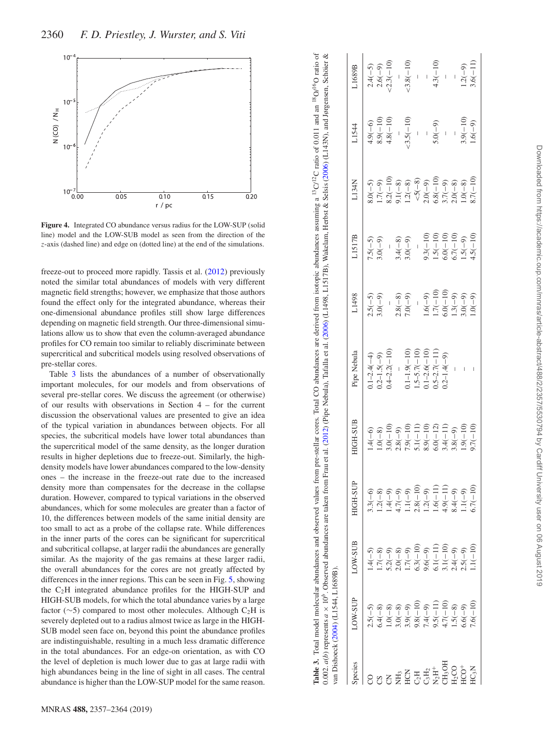<span id="page-3-0"></span>

**Figure 4.** Integrated CO abundance versus radius for the LOW-SUP (solid line) model and the LOW-SUB model as seen from the direction of the *z*-axis (dashed line) and edge on (dotted line) at the end of the simulations.

freeze-out to proceed more rapidly. Tassis et al. [\(2012\)](#page-7-18) previously noted the similar total abundances of models with very different magnetic field strengths; however, we emphasize that those authors found the effect only for the integrated abundance, whereas their one-dimensional abundance profiles still show large differences depending on magnetic field strength. Our three-dimensional simulations allow us to show that even the column-averaged abundance profiles for CO remain too similar to reliably discriminate between supercritical and subcritical models using resolved observations of pre-stellar cores.

<span id="page-3-1"></span>Table [3](#page-3-1) lists the abundances of a number of observationally important molecules, for our models and from observations of several pre-stellar cores. We discuss the agreement (or otherwise) of our results with observations in Section 4 – for the current discussion the observational values are presented to give an idea of the typical variation in abundances between objects. For all species, the subcritical models have lower total abundances than the supercritical model of the same density, as the longer duration results in higher depletions due to freeze-out. Similarly, the highdensity models have lower abundances compared to the low-density ones – the increase in the freeze-out rate due to the increased density more than compensates for the decrease in the collapse duration. However, compared to typical variations in the observed abundances, which for some molecules are greater than a factor of 10, the differences between models of the same initial density are too small to act as a probe of the collapse rate. While differences in the inner parts of the cores can be significant for supercritical and subcritical collapse, at larger radii the abundances are generally similar. As the majority of the gas remains at these larger radii, the overall abundances for the cores are not greatly affected by differences in the inner regions. This can be seen in Fig. [5,](#page-4-0) showing the C 2H integrated abundance profiles for the HIGH-SUP and HIGH-SUB models, for which the total abundance varies by a large factor ( $\sim$ 5) compared to most other molecules. Although C<sub>2</sub>H is severely depleted out to a radius almost twice as large in the HIGH-SUB model seen face on, beyond this point the abundance profiles are indistinguishable, resulting in a much less dramatic difference in the total abundances. For an edge-on orientation, as with CO the level of depletion is much lower due to gas at large radii with high abundances being in the line of sight in all cases. The central abundance is higher than the LOW-SUP model for the same reason.

Table 3. Total model molecular abundances and observed values from pre-stellar cores. Total CO abundances are derived from isotopic abundances assuming a <sup>13</sup>C/<sup>12</sup>C ratio of 0.011 and an <sup>18</sup>O/<sup>16</sup>O ratio of  $\propto$ **Table 3.** Total model molecular abundances and observed values from pre-stellar cores. Total CO abundances are derived from isotopic abundances assuming a <sup>13</sup>C/<sup>12</sup>C ratio of 0.011 and an <sup>18</sup>O/<sup>16</sup>O ratio of 0.002.  $a(b)$  represents  $a \times 10^b$ . Observed abundances are taken from Frau et al. [\(2012\)](#page-7-26) (Pipe Nebula), Tafalla et al. [\(2006\)](#page-7-28) (L1498, L1517B), Wakelam, Herbst & Selsis (2006) (L143N), and Jørgensen, Schöier &  $0.002$ ,  $a(b)$  represents  $a \times 10^b$ . Observed abundances are taken from Frau et al. (2012) (Pipe Nebula), Tafalla et al. (2006) (1.1498, L1517B), Wakelam, Herbst & Selsis (2006) (1.143N), and Jørgensen, Schöier

|                                                                | van Dishoeck (2004) (L1544, L1689B).                                                    |                                                                                                       |                                                                                                                                                                                                                                                                                                                       |                                                                                 |                                                                             |                                                                                                                                                |                                                                                             |                                                                                                 |                                                                   |       |
|----------------------------------------------------------------|-----------------------------------------------------------------------------------------|-------------------------------------------------------------------------------------------------------|-----------------------------------------------------------------------------------------------------------------------------------------------------------------------------------------------------------------------------------------------------------------------------------------------------------------------|---------------------------------------------------------------------------------|-----------------------------------------------------------------------------|------------------------------------------------------------------------------------------------------------------------------------------------|---------------------------------------------------------------------------------------------|-------------------------------------------------------------------------------------------------|-------------------------------------------------------------------|-------|
| pecies                                                         | LOW-SUP                                                                                 | <b>COW-SUB</b>                                                                                        | HGH-SUP                                                                                                                                                                                                                                                                                                               | <b>HGH-SUB</b>                                                                  | Pipe Nebula                                                                 | L1498                                                                                                                                          | L1517B                                                                                      | L134N                                                                                           | L1544                                                             | 1689B |
|                                                                |                                                                                         |                                                                                                       |                                                                                                                                                                                                                                                                                                                       | $-4(-6)$                                                                        |                                                                             |                                                                                                                                                |                                                                                             |                                                                                                 |                                                                   |       |
|                                                                | $2.5(-5)$<br>$5.4(-8)$                                                                  |                                                                                                       |                                                                                                                                                                                                                                                                                                                       |                                                                                 |                                                                             | $2.5(-5)$<br>$3.0(-9)$                                                                                                                         | $7.5(-5)$<br>3.0(-9)                                                                        |                                                                                                 |                                                                   |       |
|                                                                |                                                                                         | 1.4(-5)<br>1.7(-8)<br>1.7(-9)<br>5.2(-9)<br>5.3(-11)<br>5.3(-9)<br>5.4(-9)<br>5.4(-9)<br>5.1.1.1(-10) | $\begin{array}{l} 3.3(-6) \\ 1.2(-8) \\ 1.4(-9) \\ 1.4(1) \\ 1.1(-9) \\ 1.1(-9) \\ 1.1(-9) \\ 1.1(-9) \\ 1.1(-9) \\ 1.1(-9) \\ 1.1(-9) \\ 1.1(-9) \\ 1.1(-9) \\ 1.1(-9) \\ 1.1(-9) \\ 1.1(-9) \\ 1.1(-9) \\ 1.1(-9) \\ 1.1(-9) \\ 1.1(-9) \\ 1.1(-1) \\ 1.1(-9) \\ 1.1(-1) \\ 1.1(-1) \\ 1.1(-1) \\ 1.1(-1) \\ 1.1(-$ | 1.0(-8)<br>3.0(-10)<br>3.28(-9)<br>7.9(-10)<br>5.1(-11)<br>8.9(-10)<br>8.9(-12) | $0.1-2.4(-4)$<br>$0.2-1.5(-9)$<br>$0.4-2.2(-10)$                            |                                                                                                                                                |                                                                                             | 8.0(-5)<br>1.7(-9)<br>1.7(-9)<br>8.2(-1)<br>9.1(-8)<br>5.7(-9)<br>5.7(-8)<br>5.7(-8)<br>5.7(-1) | 4.9(-6)<br>8.9(-10)<br>4.8(-10)<br>4.8(-10)<br>5.5(-9)<br>5.0(-9) |       |
| ψĤ,                                                            |                                                                                         |                                                                                                       |                                                                                                                                                                                                                                                                                                                       |                                                                                 |                                                                             |                                                                                                                                                |                                                                                             |                                                                                                 |                                                                   |       |
| ğ                                                              | 1.0(-8)<br>3.0(-8)<br>3.9(-9)<br>9.8(-10)<br>9.5(-11)<br>9.5(-10)<br>4.7(-0)<br>1.5(-9) |                                                                                                       |                                                                                                                                                                                                                                                                                                                       |                                                                                 | 0.1-1.9(-10)<br>1.5-5.7(-10)<br>0.1-2.6(-10)<br>0.5-2.7(-11)<br>0.2-1.4(-9) | $-2.8(-8)$<br>7.0(-9)                                                                                                                          | $3.4(-8)$<br>$3.0(-9)$<br>$9.3(-10)$<br>$1.5(-10)$<br>$6.0(-10)$<br>$6.7(-10)$<br>$1.5(-9)$ |                                                                                                 |                                                                   |       |
|                                                                |                                                                                         |                                                                                                       |                                                                                                                                                                                                                                                                                                                       |                                                                                 |                                                                             |                                                                                                                                                |                                                                                             |                                                                                                 |                                                                   |       |
| $^{12}H_2$                                                     |                                                                                         |                                                                                                       |                                                                                                                                                                                                                                                                                                                       |                                                                                 |                                                                             |                                                                                                                                                |                                                                                             |                                                                                                 |                                                                   |       |
| $\Phi H^+$                                                     |                                                                                         |                                                                                                       |                                                                                                                                                                                                                                                                                                                       |                                                                                 |                                                                             |                                                                                                                                                |                                                                                             |                                                                                                 |                                                                   |       |
|                                                                |                                                                                         |                                                                                                       |                                                                                                                                                                                                                                                                                                                       | $3.4(-11)$                                                                      |                                                                             | $\begin{array}{c} 1.6(-9) \\ 1.6(-10) \\ 1.7(-10) \\ 6.0(-10) \\ 1.3(-9) \\ 1.3(-9) \\ 3.0(-9) \\ 1.0(-10) \\ 1.0(-9) \\ 1.0(-10) \end{array}$ |                                                                                             |                                                                                                 |                                                                   |       |
| $\begin{array}{l} \mathrm{CH_3OH}\\ \mathrm{H_2CO}\end{array}$ |                                                                                         |                                                                                                       |                                                                                                                                                                                                                                                                                                                       | $3.8(-9)$                                                                       |                                                                             |                                                                                                                                                |                                                                                             |                                                                                                 | $-$<br>3.9(-10)<br>1.6(-9)                                        |       |
| $\overline{C}O^+$                                              |                                                                                         |                                                                                                       |                                                                                                                                                                                                                                                                                                                       | $(01-)6.1$                                                                      | $\frac{1}{2}$                                                               |                                                                                                                                                |                                                                                             |                                                                                                 |                                                                   |       |
| $\rm IC_3N$                                                    | $7.6(-10)$                                                                              |                                                                                                       |                                                                                                                                                                                                                                                                                                                       | $0.7(-10)$                                                                      |                                                                             |                                                                                                                                                |                                                                                             |                                                                                                 |                                                                   |       |
|                                                                |                                                                                         |                                                                                                       |                                                                                                                                                                                                                                                                                                                       |                                                                                 |                                                                             |                                                                                                                                                |                                                                                             |                                                                                                 |                                                                   |       |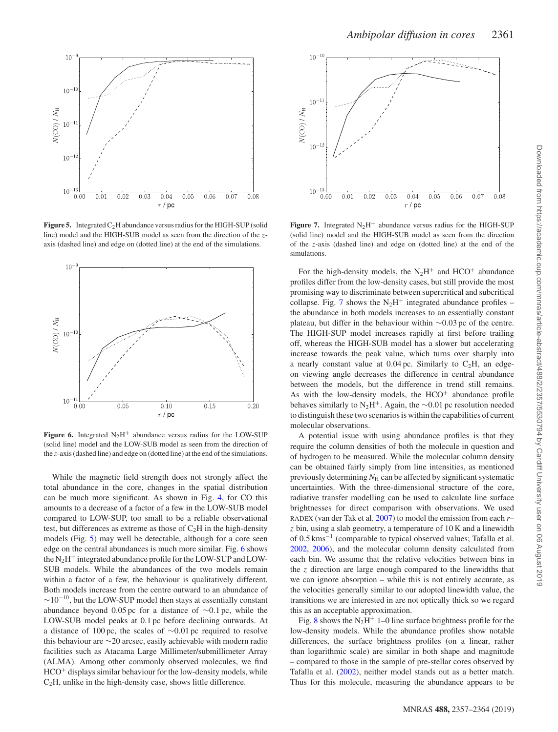<span id="page-4-0"></span>

**Figure 5.** Integrated  $C_2H$  abundance versus radius for the HIGH-SUP (solid line) model and the HIGH-SUB model as seen from the direction of the *z*axis (dashed line) and edge on (dotted line) at the end of the simulations.

<span id="page-4-1"></span>

**Figure 6.** Integrated  $N_2H^+$  abundance versus radius for the LOW-SUP (solid line) model and the LOW-SUB model as seen from the direction of the *z*-axis (dashed line) and edge on (dotted line) at the end of the simulations.

While the magnetic field strength does not strongly affect the total abundance in the core, changes in the spatial distribution can be much more significant. As shown in Fig. [4,](#page-3-0) for CO this amounts to a decrease of a factor of a few in the LOW-SUB model compared to LOW-SUP, too small to be a reliable observational test, but differences as extreme as those of  $C_2H$  in the high-density models (Fig. [5\)](#page-4-0) may well be detectable, although for a core seen edge on the central abundances is much more similar. Fig. [6](#page-4-1) shows the  $N_2H^+$  integrated abundance profile for the LOW-SUP and LOW-SUB models. While the abundances of the two models remain within a factor of a few, the behaviour is qualitatively different. Both models increase from the centre outward to an abundance of  $\sim$ 10<sup>-10</sup>, but the LOW-SUP model then stays at essentially constant abundance beyond 0*.*05 pc for a distance of ∼0*.*1 pc, while the LOW-SUB model peaks at 0*.*1 pc before declining outwards. At a distance of 100 pc, the scales of ∼0*.*01 pc required to resolve this behaviour are ∼20 arcsec, easily achievable with modern radio facilities such as Atacama Large Millimeter/submillimeter Array (ALMA). Among other commonly observed molecules, we find  $HCO<sup>+</sup>$  displays similar behaviour for the low-density models, while  $C<sub>2</sub>H$ , unlike in the high-density case, shows little difference.

<span id="page-4-2"></span>

**Figure 7.** Integrated  $N_2H^+$  abundance versus radius for the HIGH-SUP (solid line) model and the HIGH-SUB model as seen from the direction of the *z*-axis (dashed line) and edge on (dotted line) at the end of the simulations.

For the high-density models, the  $N_2H^+$  and  $HCO^+$  abundance profiles differ from the low-density cases, but still provide the most promising way to discriminate between supercritical and subcritical collapse. Fig. [7](#page-4-2) shows the  $N_2H^+$  integrated abundance profiles – the abundance in both models increases to an essentially constant plateau, but differ in the behaviour within ∼0*.*03 pc of the centre. The HIGH-SUP model increases rapidly at first before trailing off, whereas the HIGH-SUB model has a slower but accelerating increase towards the peak value, which turns over sharply into a nearly constant value at  $0.04 \,\text{pc}$ . Similarly to  $C_2H$ , an edgeon viewing angle decreases the difference in central abundance between the models, but the difference in trend still remains. As with the low-density models, the  $HCO<sup>+</sup>$  abundance profile behaves similarly to N2H+. Again, the ∼0*.*01 pc resolution needed to distinguish these two scenarios is within the capabilities of current molecular observations.

A potential issue with using abundance profiles is that they require the column densities of both the molecule in question and of hydrogen to be measured. While the molecular column density can be obtained fairly simply from line intensities, as mentioned previously determining  $N<sub>H</sub>$  can be affected by significant systematic uncertainties. With the three-dimensional structure of the core, radiative transfer modelling can be used to calculate line surface brightnesses for direct comparison with observations. We used RADEX (van der Tak et al. [2007\)](#page-7-30) to model the emission from each *r*– *z* bin, using a slab geometry, a temperature of 10 K and a linewidth of 0*.*5 kms−<sup>1</sup> (comparable to typical observed values; Tafalla et al. [2002,](#page-7-31) [2006\)](#page-7-27), and the molecular column density calculated from each bin. We assume that the relative velocities between bins in the *z* direction are large enough compared to the linewidths that we can ignore absorption – while this is not entirely accurate, as the velocities generally similar to our adopted linewidth value, the transitions we are interested in are not optically thick so we regard this as an acceptable approximation.

Fig. [8](#page-5-0) shows the  $N_2H^+$  1–0 line surface brightness profile for the low-density models. While the abundance profiles show notable differences, the surface brightness profiles (on a linear, rather than logarithmic scale) are similar in both shape and magnitude – compared to those in the sample of pre-stellar cores observed by Tafalla et al. [\(2002\)](#page-7-31), neither model stands out as a better match. Thus for this molecule, measuring the abundance appears to be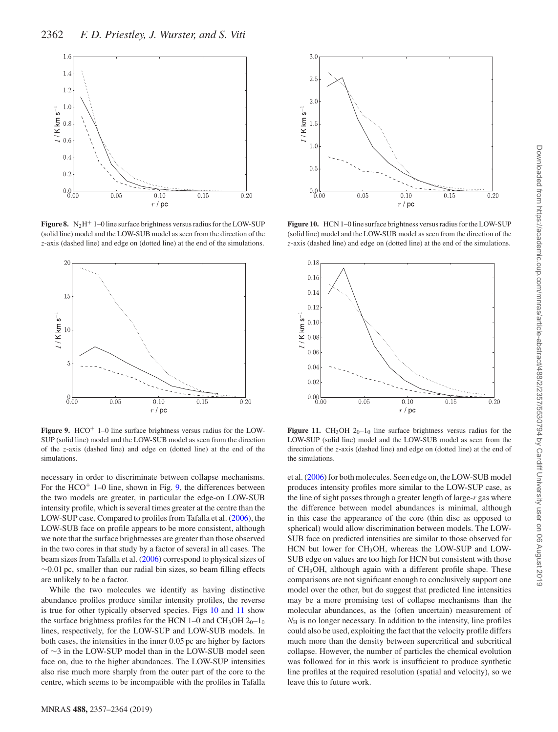<span id="page-5-0"></span>

**Figure 8.** N<sub>2</sub>H<sup>+</sup> 1–0 line surface brightness versus radius for the LOW-SUP (solid line) model and the LOW-SUB model as seen from the direction of the *z*-axis (dashed line) and edge on (dotted line) at the end of the simulations.

<span id="page-5-1"></span>

Figure 9. HCO<sup>+</sup> 1–0 line surface brightness versus radius for the LOW-SUP (solid line) model and the LOW-SUB model as seen from the direction of the *z*-axis (dashed line) and edge on (dotted line) at the end of the simulations.

necessary in order to discriminate between collapse mechanisms. For the  $HCO<sup>+</sup> 1–0$  line, shown in Fig. [9,](#page-5-1) the differences between the two models are greater, in particular the edge-on LOW-SUB intensity profile, which is several times greater at the centre than the LOW-SUP case. Compared to profiles from Tafalla et al. [\(2006\)](#page-7-27), the LOW-SUB face on profile appears to be more consistent, although we note that the surface brightnesses are greater than those observed in the two cores in that study by a factor of several in all cases. The beam sizes from Tafalla et al. [\(2006\)](#page-7-27) correspond to physical sizes of ∼0*.*01 pc, smaller than our radial bin sizes, so beam filling effects are unlikely to be a factor.

While the two molecules we identify as having distinctive abundance profiles produce similar intensity profiles, the reverse is true for other typically observed species. Figs [10](#page-5-2) and [11](#page-5-3) show the surface brightness profiles for the HCN 1–0 and  $CH_3OH$  2<sub>0</sub>–1<sub>0</sub> lines, respectively, for the LOW-SUP and LOW-SUB models. In both cases, the intensities in the inner 0*.*05 pc are higher by factors of ∼3 in the LOW-SUP model than in the LOW-SUB model seen face on, due to the higher abundances. The LOW-SUP intensities also rise much more sharply from the outer part of the core to the centre, which seems to be incompatible with the profiles in Tafalla

<span id="page-5-2"></span>

**Figure 10.** HCN 1–0 line surface brightness versus radius for the LOW-SUP (solid line) model and the LOW-SUB model as seen from the direction of the *z*-axis (dashed line) and edge on (dotted line) at the end of the simulations.

<span id="page-5-3"></span>

**Figure 11.** CH<sub>3</sub>OH  $20-10$  line surface brightness versus radius for the LOW-SUP (solid line) model and the LOW-SUB model as seen from the direction of the *z*-axis (dashed line) and edge on (dotted line) at the end of the simulations.

et al. [\(2006\)](#page-7-27) for both molecules. Seen edge on, the LOW-SUB model produces intensity profiles more similar to the LOW-SUP case, as the line of sight passes through a greater length of large-*r* gas where the difference between model abundances is minimal, although in this case the appearance of the core (thin disc as opposed to spherical) would allow discrimination between models. The LOW-SUB face on predicted intensities are similar to those observed for HCN but lower for CH<sub>3</sub>OH, whereas the LOW-SUP and LOW-SUB edge on values are too high for HCN but consistent with those of CH3OH, although again with a different profile shape. These comparisons are not significant enough to conclusively support one model over the other, but do suggest that predicted line intensities may be a more promising test of collapse mechanisms than the molecular abundances, as the (often uncertain) measurement of  $N<sub>H</sub>$  is no longer necessary. In addition to the intensity, line profiles could also be used, exploiting the fact that the velocity profile differs much more than the density between supercritical and subcritical collapse. However, the number of particles the chemical evolution was followed for in this work is insufficient to produce synthetic line profiles at the required resolution (spatial and velocity), so we leave this to future work.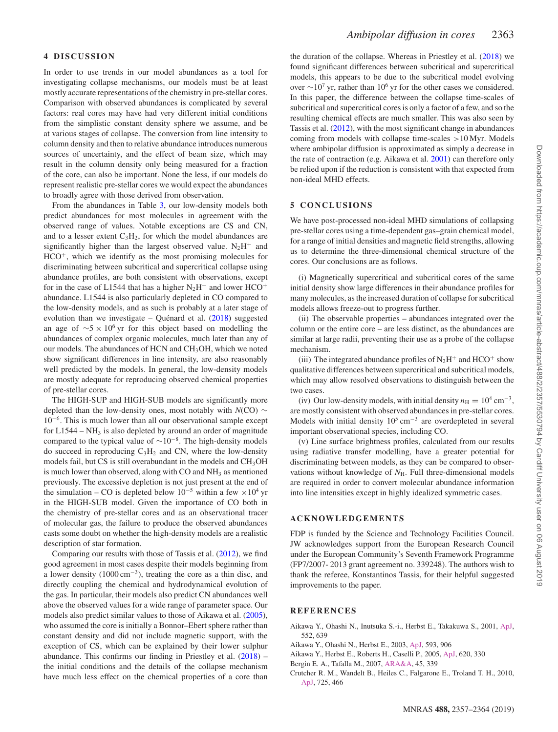# **4 DISCUSSION**

In order to use trends in our model abundances as a tool for investigating collapse mechanisms, our models must be at least mostly accurate representations of the chemistry in pre-stellar cores. Comparison with observed abundances is complicated by several factors: real cores may have had very different initial conditions from the simplistic constant density sphere we assume, and be at various stages of collapse. The conversion from line intensity to column density and then to relative abundance introduces numerous sources of uncertainty, and the effect of beam size, which may result in the column density only being measured for a fraction of the core, can also be important. None the less, if our models do represent realistic pre-stellar cores we would expect the abundances to broadly agree with those derived from observation.

From the abundances in Table [3,](#page-3-1) our low-density models both predict abundances for most molecules in agreement with the observed range of values. Notable exceptions are CS and CN, and to a lesser extent  $C_3H_2$ , for which the model abundances are significantly higher than the largest observed value.  $N_2H^+$  and  $HCO<sup>+</sup>$ , which we identify as the most promising molecules for discriminating between subcritical and supercritical collapse using abundance profiles, are both consistent with observations, except for in the case of L1544 that has a higher  $N_2H^+$  and lower HCO<sup>+</sup> abundance. L1544 is also particularly depleted in CO compared to the low-density models, and as such is probably at a later stage of evolution than we investigate  $-$  Quénard et al. ([2018\)](#page-7-32) suggested an age of  $\sim$ 5 × 10<sup>6</sup> yr for this object based on modelling the abundances of complex organic molecules, much later than any of our models. The abundances of HCN and CH<sub>3</sub>OH, which we noted show significant differences in line intensity, are also reasonably well predicted by the models. In general, the low-density models are mostly adequate for reproducing observed chemical properties of pre-stellar cores.

The HIGH-SUP and HIGH-SUB models are significantly more depleted than the low-density ones, most notably with *N*(CO) ∼ 10−6. This is much lower than all our observational sample except for  $L1544 - NH_3$  is also depleted by around an order of magnitude compared to the typical value of  $\sim 10^{-8}$ . The high-density models do succeed in reproducing  $C_3H_2$  and CN, where the low-density models fail, but CS is still overabundant in the models and CH3OH is much lower than observed, along with CO and NH<sub>3</sub> as mentioned previously. The excessive depletion is not just present at the end of the simulation – CO is depleted below  $10^{-5}$  within a few ×10<sup>4</sup> yr in the HIGH-SUB model. Given the importance of CO both in the chemistry of pre-stellar cores and as an observational tracer of molecular gas, the failure to produce the observed abundances casts some doubt on whether the high-density models are a realistic description of star formation.

Comparing our results with those of Tassis et al. [\(2012\)](#page-7-18), we find good agreement in most cases despite their models beginning from a lower density (1000 cm−3), treating the core as a thin disc, and directly coupling the chemical and hydrodynamical evolution of the gas. In particular, their models also predict CN abundances well above the observed values for a wide range of parameter space. Our models also predict similar values to those of Aikawa et al. [\(2005\)](#page-6-3), who assumed the core is initially a Bonnor–Ebert sphere rather than constant density and did not include magnetic support, with the exception of CS, which can be explained by their lower sulphur abundance. This confirms our finding in Priestley et al. [\(2018\)](#page-7-20) – the initial conditions and the details of the collapse mechanism have much less effect on the chemical properties of a core than

the duration of the collapse. Whereas in Priestley et al. [\(2018\)](#page-7-20) we found significant differences between subcritical and supercritical models, this appears to be due to the subcritical model evolving over  $\sim$ 10<sup>7</sup> yr, rather than 10<sup>6</sup> yr for the other cases we considered. In this paper, the difference between the collapse time-scales of subcritical and supercritical cores is only a factor of a few, and so the resulting chemical effects are much smaller. This was also seen by Tassis et al. [\(2012\)](#page-7-18), with the most significant change in abundances coming from models with collapse time-scales *>*10 Myr. Models where ambipolar diffusion is approximated as simply a decrease in the rate of contraction (e.g. Aikawa et al. [2001\)](#page-6-1) can therefore only be relied upon if the reduction is consistent with that expected from non-ideal MHD effects.

# **5 CONCLUSIONS**

We have post-processed non-ideal MHD simulations of collapsing pre-stellar cores using a time-dependent gas–grain chemical model, for a range of initial densities and magnetic field strengths, allowing us to determine the three-dimensional chemical structure of the cores. Our conclusions are as follows.

(i) Magnetically supercritical and subcritical cores of the same initial density show large differences in their abundance profiles for many molecules, as the increased duration of collapse for subcritical models allows freeze-out to progress further.

(ii) The observable properties – abundances integrated over the column or the entire core – are less distinct, as the abundances are similar at large radii, preventing their use as a probe of the collapse mechanism.

(iii) The integrated abundance profiles of  $N_2H^+$  and  $HCO^+$  show qualitative differences between supercritical and subcritical models, which may allow resolved observations to distinguish between the two cases.

(iv) Our low-density models, with initial density  $n_{\rm H} = 10^4 \text{ cm}^{-3}$ , are mostly consistent with observed abundances in pre-stellar cores. Models with initial density  $10^5$  cm<sup>-3</sup> are overdepleted in several important observational species, including CO.

(v) Line surface brightness profiles, calculated from our results using radiative transfer modelling, have a greater potential for discriminating between models, as they can be compared to observations without knowledge of  $N_{\rm H}$ . Full three-dimensional models are required in order to convert molecular abundance information into line intensities except in highly idealized symmetric cases.

# **ACKNOWLEDGEMENTS**

FDP is funded by the Science and Technology Facilities Council. JW acknowledges support from the European Research Council under the European Community's Seventh Framework Programme (FP7/2007- 2013 grant agreement no. 339248). The authors wish to thank the referee, Konstantinos Tassis, for their helpful suggested improvements to the paper.

# **REFERENCES**

- <span id="page-6-1"></span>Aikawa Y., Ohashi N., Inutsuka S.-i., Herbst E., Takakuwa S., 2001, [ApJ,](http://dx.doi.org/10.1086/320551) 552, 639
- <span id="page-6-2"></span>Aikawa Y., Ohashi N., Herbst E., 2003, [ApJ,](http://dx.doi.org/10.1086/376616) 593, 906
- <span id="page-6-3"></span>Aikawa Y., Herbst E., Roberts H., Caselli P., 2005, [ApJ,](http://dx.doi.org/10.1086/427017) 620, 330
- <span id="page-6-0"></span>Bergin E. A., Tafalla M., 2007, [ARA&A,](http://dx.doi.org/10.1146/annurev.astro.45.071206.100404) 45, 339
- <span id="page-6-4"></span>Crutcher R. M., Wandelt B., Heiles C., Falgarone E., Troland T. H., 2010, [ApJ,](http://dx.doi.org/10.1088/0004-637X/725/1/466) 725, 466